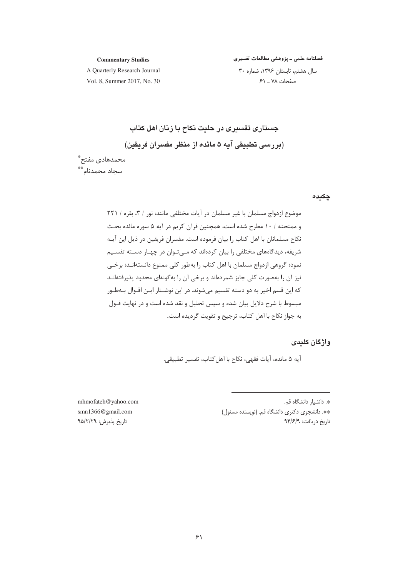#### **Commentary Studies**

فصلنامه علمی ـ پژوهشی مطالعات تفسیری

A Quarterly Research Journal Vol. 8. Summer 2017, No. 30

سال هشتم، تابستان ١٣٩۶، شماره ٣٠ صفحات ٧٨ ـ ۶١

جستاری تفسیری در حلیت نکاح با زنان اهل کتاب (بررسی تطبیقی آیه ۵ مائده از منظر مفسران فریقین)

محمدهادى مفتح\*ٌ سجاد محمدنام\*\*

## چکیدہ

موضوع ازدواج مسلمان با غیر مسلمان در آیات مختلفی مانند: نور / ۳، بقره / ۲۲۱ و ممتحنه / ١٠ مطرح شده است، همچنین قرآن کریم در آیه ۵ سوره مائده بحث نکاح مسلمانان با اهل کتاب را بیان فرموده است. مفسران فریقین در ذیل این آیـه شریفه، دیدگاههای مختلفی را بیان کردهاند که مـی تـوان در چهـار دســته تقســیم نمود؛ گروهی ازدواج مسلمان با اهل کتاب را بهطور کلی ممنوع دانستهانـد؛ برخـی نیز آن را بهصورت کلی جایز شمردهاند و برخی آن را بهگونهای محدود پذیرفتهانـد که این قسم اخیر به دو دسته تقسیم میشوند. در این نوشـتار ایـن اقـوال بــهطـور مبسوط با شرح دلایل بیان شده و سپس تحلیل و نقد شده است و در نهایت قـول به جواز نكاح با اهل كتاب، ترجيح و تقويت گرديده است.

# واژگان کلیدی

آيه ۵ مائده، آيات فقهي، نكاح با اهل كتاب، تفسير تطبيقي.

\*. دانشیار دانشگاه قم. \*\*. دانشجوی دکتری دانشگاه قم. (نویسنده مسئول) تاريخ دريافت: ٩٣/۶/٩

mhmofateh@yahoo.com smn1366@gmail.com تاريخ پذيرش: ٩۵/٢/٢٩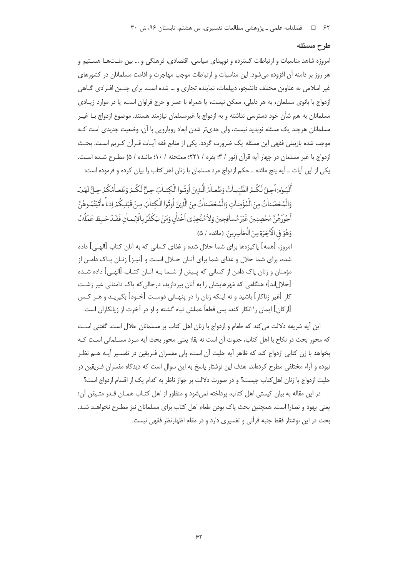## طرح مسئله

امروزه شاهد مناسبات و ارتباطات گسترده و نوییدای سیاسی، اقتصادی، فرهنگی و … بین ملـتهـا هسـتیم و هر روز بر دامنه آن افزوده می شود. این مناسبات و ارتباطات موجب مهاجرت و اقامت مسلمانان در کشورهای غیر اسلامی به عناوین مختلف دانشجو، دیپلمات، نماینده تجاری و … شده است. برای چنـین افـرادی گــاهی ازدواج با بانوی مسلمان، به هر دلیلی، ممکن نیست، یا همراه با عسر و حرج فراوان است، یا در موارد زیـادی مسلمانان به هم شأن خود دسترسی نداشته و به ازدواج با غیرمسلمان نیازمند هستند. موضوع ازدواج بـا غیـر مسلمانان هرچند یک مسئله نوپدید نیست، ولی جدیتر شدن ابعاد رویارویی با آن، وضعیت جدیدی است کـه موجب شده بازبینی فقهی این مسئله یک ضرورت گردد. یکی از منابع فقه آیـات قـرآن کـریم اسـت. بحـث ازدواج با غير مسلمان در چهار آيه قرآن (نور / ٣؛ بقره / ٢٢١؛ ممتحنه / ١٠؛ مائـده / ۵) مطـرح شـده اسـت. یکی از این آیات \_ آیه پنج مائده \_ حکم ازدواج مرد مسلمان با زنان اهل کتاب را بیان کرده و فرموده است:

ٱلْيَعِدُهِ أَحِيَّ لَكُيمُ الطَّيِّباتُ وَطَعِياْمُ الَّبِذِينَ أُوتُهوا الْكِتباٰبَ حِيَّ لَكُيمْ وَطَعباهُ كُمْرِ حِيَّ لَهُمْهُ ۖ وَالْمُحْصَناتُ مِنَ الْمُؤْمِناتِ وَالْمُحْصَناتُ مِنَ الَّذِينَ أُوتُوا الْكِتابَ مِنْ قَبْلِكُمْ إذ أ ءاتَيْتُمُوهُنَّ أُجُورَهُنَّ مُحْصِبِينَ غَيْرَ مُسافِحِينَ وَلاٰ مُتَّخِذٖيٓ اَخْدٰلٰنِ وَمَنْ يَكُفُرُ بِالْإِيماٰنِ فَقَـدْ حَبِطَ عَمَلُه ُه وَهُوَ فِي الْأَخِرَةِ مِنَ الْخَاسِرِينَ. (مائده / ۵)

امروز، [همه] پاکیزهها برای شما حلال شده و غذای کسانی که به آنان کتاب [الهـی] داده شده، براي شما حلال و غذاي شما براي آنــان حــلال اســت و [نيــز] زنــان بــاک دامــن از مؤمنان و زنان پاک دامن از کسانی که پـیش از شــما بـه آنــان کتــاب [الهــی] داده شــده [حلال|ند]؛ هنگامی که مَهرهایشان را به آنان بیردازید، درحالی که پاک دامنانی غیر زشـت کار [غیر زناکار] باشید و نه اینکه زنان را در پنهـانی دوسـت [خـود] بگیریـد و هـر کـس [اركان] ايمان را انكار كند، پس قطعاً عملش تباه گشته و او در آخرت از زيانكاران است.

این آیه شریفه دلالت می کند که طعام و ازدواج با زنان اهل کتاب بر مسلمانان حلال است. گفتنی است كه محور بحث در نكاح با اهل كتاب، حدوث آن است نه بقا؛ يعنى محور بحث آيه مـرد مسـلمانى اسـت كـه بخواهد با زن كتابي ازدواج كند كه ظاهر آيه حليت آن است، ولي مفسران فـريقين در تفسـير آيـه هــم نظـر نبوده و آراء مختلفی مطرح کردهاند، هدف این نوشتار پاسخ به این سوال است که دیدگاه مفسران فـریقین در حلیت ازدواج با زنان اهل کتاب چیست؟ و در صورت دلالت بر جواز ناظر به کدام یک از اقسام ازدواج است؟

در این مقاله به بیان کیستی اهل کتاب، پرداخته نمی شود و منظور از اهل کتـاب همـان قـدر متـیقن آن؛ یعنی پهود و نصارا است. همچنین بحث پاک بودن طعام اهل کتاب برای مسلمانان نیز مطـرح نخواهـد شـد. بحث در این نوشتار فقط جنبه قرآنی و تفسیری دارد و در مقام اظهارنظر فقهی نیست.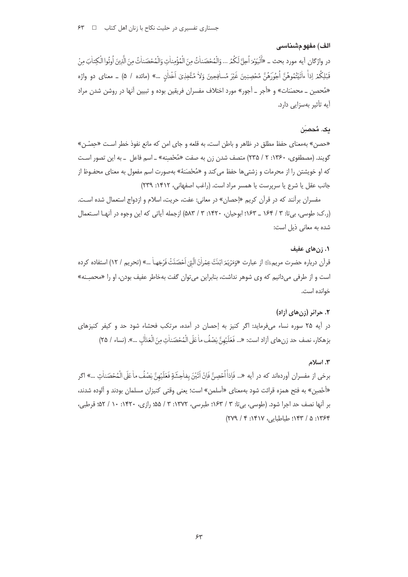# الف) مفهومشناسي

در واژگان آيه مورد بحث \_ «أَلْيَوْمَرَ أُجِلَّ لَكُمُ ... وَالْمُحْصَناٰتُ مِنَ الْمُؤْمِناٰتِ وَالْمُحْصَناٰتُ مِنَ الَّذِينَ أُوتُوا الْكِتاٰبَ مِنْ قَبَلِكُمْ اِذاً ءاٰتَيْتُمُوهُنَّ اُجُوَرَهُنَّ مُحْصِبِينَ غَيْرَ مُسافِجِينَ وَلاٰ مُتَّخِذٖىٓ اَخْداٰنِ …» (مائده / ۵) \_ معناى دو واژه «مُحصِن \_ محصَنات» و «أجر \_ أجور» مورد اختلاف مفسران فريقين بوده و تبيين آنها در روشن شدن مراد آیه تأثیر بهسزایی دارد.

# یک. مُحصِبَ

«حصن» بهمعناي حفظ مطلق در ظاهر و باطن است، به قلعه و جاي امن كه مانع نفوذ خطر است «حِصْـن» گویند. (مصطفوی، ۱۳۶۰: ۲ / ۲۳۵) متصف شدن زن به صفت «مُحْصِنِه» ـ اسم فاعل ــ به این تصور اسـت که او خویشتن را از محرمات و زشتی ها حفظ می کند و «مُحْصَنهٔ» بهصورت اسم مفعول به معنای محفـوظ از جانب عقل یا شرع یا سرپرست یا همسر مراد است. (راغب اصفهانی، ۱۴۱۲: ۲۳۹)

مفسران برآنند که در قرآن کریم «إحصان» در معانی: عفت، حریت، اسلام و ازدواج استعمال شده است. (ر.ک: طوسی، بی تا: ۳ / ۱۶۴ \_ ۱۶۳: ابوحیان، ۱۴۲۰: ۳ / ۵۸۳) ازجمله آیاتی که این وجوه در آنهـا استعمال شده به معانی ذیل است:

## ۰۱ زنهای عفیف

قرآن درباره حضرت مريم؛ إز عبارت «وَمَرْيَمَ ابْنَتَ عِمْراٰنَ الَّتِيَ اَحْصَنَتْ فَرْجَهـا ْ ...» (تحريم / ١٢) استفاده كرده است و از طرفی میدانیم که وی شوهر نداشت، بنابراین میتوان گفت بهخاطر عفیف بودن، او را «محصِـنه» خوانده است.

# ۲. حرائر (زن های آزاد)

در آیه ۲۵ سوره نساء میفرماید: اگر کنیز به اِحصان در آمده، مرتکب فحشاء شود حد و کیفر کنیزهای بزهكار، نصف حد زن هاي آزاد است: «... فَعَلَيْهِنَّ نِصْفُ ماٰ عَلَى الْمُحْصَناٰتِ مِنَ الْعَذَلْبِ ...». (نساء / ٢٥)

## ٣. اسلام

برخي از مفسران أوردهاند كه در أيه «... فَإِذاْ اُحْصِنَّ فَإِنْ اَتَيْنَ بِفاٰحِشَةٍ فَعَلَيْهِنَّ نِصْفُ ما عَلَى الْمُحْصَناٰتِ ...» اگر «أَحْصِنِ» به فتح همزه قرائت شود بهمعناي «أسلمن» است؛ يعني وقتي كنيزان مسلمان بودند و آلوده شدند، بر آنها نصف حد اجرا شود. (طوسی، بی تا: ۳ / ۱۶۳؛ طبرسی، ۱۳۷۲: ۳ / ۵۵؛ رازی، ۱۴۲۰: ۱۰ / ۵۲؛ قرطبی، ١٣۶۴: ۵ / ١۴٣: طباطيابي، ١۴١٧: ٢ / ٢٧٩)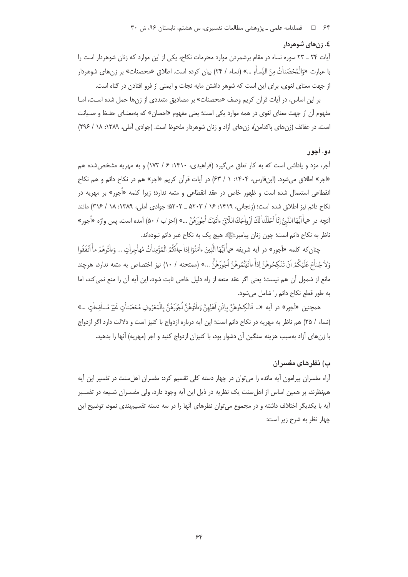## ٤. زن هاي شوهر دار

آیات ۲۴ \_ ۲۳ سوره نساء در مقام برشمردن موارد محرمات نکاح، یکی از این موارد که زنان شوهردار است را با عبارت «وَالْمُحْصَناٰتُ مِنَ النِّساٰءِ …» (نساء / ٢۴) بيان كرده است. اطلاق «محصنات» بر زنهاى شوهردار از جهت معنای لغوی، برای این است که شوهر داشتن مایه نجات و ایمنی از فرو افتادن در گناه است.

بر این اساس، در آیات قرآن کریم وصف «محصنات» بر مصادیق متعددی از زنها حمل شده است، امـا .<br>مفهوم آن از جهت معنای لغوی در همه موارد یکی است؛ یعنی مفهوم «احصان» که بهمعنـای حفـظ و صـیانت است، در عفائف (زن های یاکدامن)، زن های آزاد و زنان شوهردار ملحوظ است. (جوادی آملی، ۱۳۸۹: ۱۸ / ۲۹۶)

# دو. أجور

أجر، مزد و یاداشی است که به کار تعلق می گیرد (فراهیدی، ۱۴۱۰: ۶ / ۱۷۳) و به مهریه مشخص شده هم «اجر» اطلاق می شود. (ابن فارس، ۱۴۰۴: ۱ / ۶۳) در آیات قرآن کریم «اجر» هم در نکاح دائم و هم نکاح انقطاعی استعمال شده است و ظهور خاص در عقد انقطاعی و متعه ندارد؛ زیرا کلمه «اَجور» بر مهریه در نكاح دائم نيز اطلاق شده است؛ (زنجاني، ١۴١٩: ١۶ / ٥٢٠٣ \_ ٥٢٠٢؛ جوادي آملي، ١٣٨٩: ١٨ / ٣١۶) مانند آنچه در «ياًايُّهَا النَّبُّ إنّاًاحَلَلْناٰ لَكَ اَزْواٰجَكَ اللّاتِيّ ءاٰتَيْتَ اُجُورَهُنَّ …» (احزاب / ۵۰) آمده است، پس واژه «اُجور» ناظر به نکاح دائم است؛ چون زنان پیامبرﷺ هیچ یک به نکاح غیر دائم نبودهاند.

چنان كه كلمه «أجور» در آيه شريفه «ياْ آيُّهَا الَّذِينَ ءاْمَنُوٓا إذا جاْءَكُمُ الْمُؤْمِناتُ مُهاجراتِ ... وَءاٰتُوهُمْ ماْ آنَفَقُوا وَلاٰجُناٰحَ عَلَيْكُمْ اَنْ تَنْكِحُوهُنَّ إِذاْ ءاٰتَيْتُمُوهُنَّ اُجُورَهُنَّ …» (ممتحنه / ١٠) نيز اختصاص به متعه ندارد، هرچند مانع از شمول آن هم نيست؛ يعنى اگر عقد متعه از راه دليل خاص ثابت شود، اين آيه آن را منع نمى كند، اما به طور قطع نكاح دائم را شامل مى شود.

همچنين «أجور» در آيه «... فَانْكِحُوهُنَّ بِإِذْنِ اَهْلِهِنَّ وَءَانُوهُنَّ اُجُورَهُنَّ بِالْمَعْرُوفِ مُحْصَناتِ غَيْرَ مُسافِحاتٍ ...» (نساء / ٢۵) هم ناظر به مهريه در نكاح دائم است؛ اين آيه درباره ازدواج با كنيز است و دلالت دارد اگر ازدواج با زنهای آزاد بهسبب هزینه سنگین آن دشوار بود، با کنیزان ازدواج کنید و اجر (مهریه) آنها را بدهید.

# ب) نظرهای مفسران

آراء مفسران پیرامون آیه مائده را می توان در چهار دسته کلی تقسیم کرد: مفسران اهل سنت در تفسیر این آیه همنظرند، بر همین اساس از اهلسنت یک نظریه در ذیل این آیه وجود دارد، ولی مفسـران شـیعه در تفسـیر آیه با یکدیگر اختلاف داشته و در مجموع میتوان نظرهای آنها را در سه دسته تقسیم.بندی نمود، توضیح این چهار نظر به شرح زیر است: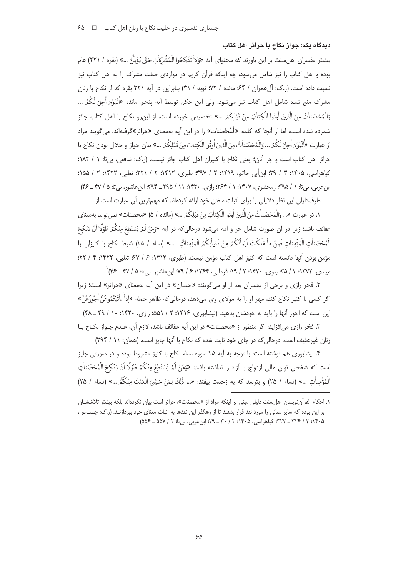ديدگاه يکم: جواز نکاح يا جرائر اهل کتاب

بيشتر مفسران اهلٍ سنت بر اين باورند كه محتواي آيه «وَلاْ تَنْكِحُوا الْمُشْركاٰتِ حَقّ' يُؤْمِّيَّ …» (بقره / ٢٢١) عام بوده و اهل کتاب را نیز شامل میشود، چه اینکه قرآن کریم در مواردی صفت مشرک را به اهل کتاب نیز نسبت داده است. (ر.ک: آلءمران / ۶۴؛ مائده / ۷۲؛ توبه / ۳۱) بنابراین در آیه ۲۲۱ بقره که از نکاح با زنان مشرک منع شده شامل اهل کتاب نیز می،شود، ولی این حکم توسط آیه پنجم مائده «اَلَیْوَمَ اُحِلَّ لَکُمُ … وَالْمُحْصَنِاتُ مِنَ الَّذِينَ أُوتُوا الْكِتاٰبَ مِنْ قَبْلِكُمْ …» تخصيص خورده است، إز ابن و نكاح با اهل كتاب حائز شمرده شده است، اما از آنجا که کلمه «الْمُحْصَنات» را در این آیه بهمعنای «حرائر»گرفتهاند، می گویند مراد از عبارت «أَلْيَوْمَ أُحِلَّ لَكُمُ ... وَالْمُحْصَناتُ مِنَ الَّذِينَ أُوتُوا الْكِتابَ مِنْ قَبْلِكُمْ ...» بيان جواز و حلال بودن نكاح با حرائر اهل كتاب است و جز آنان؛ يعني نكاح با كنيزان اهل كتاب جائز نيست. (ر.ك: شافعي، بي تا: ١ / ١٨۴؛ کیاهراسی، ۱۴۰۵: ۳ / ۲۹: این أبی حاتیم، ۱۴۱۹: ۲ / ۳۹۷: طبری، ۱۴۱۲: ۲ / ۲۲۱: ثعلبی، ۱۴۲۲: ۲ / ۵۵۱: ابن عربي، بي تا: ١ / ٩۵؟؛ زمخشري، ١٤٠٧: ١ / ٢۶۴: رازي، ١٣٢٠: ١١ / ٢٩۵ \_ ٢٩۴: ابن عاشور، بي تا: ۵ / ۴۷ \_ ۴۴)

طرفداران این نظر دلایلی را برای اثبات سخن خود ارائه کردهاند که مهمترین آن عبارت است از:

١. در عبارت «... وَالْمُحْصَناٰتُ مِنَ الَّذِينَ أُوتُوا الْكِتاٰبَ مِنْ قَبْلِكُمْ ...» (مائده / ۵) «محصنات» نمي تواند بهمعناي ۔<br>عفائف باشد؛ زیرا در آن صورت شامل حر و امه می شود درحالی که در آیه «وَمَنْ لَمْ يَسْتَطِعْ مِنْكُمْ طَوْلًا اَنْ يَنْكِحَ الْمُحْصَناتِ الْمُؤْمِناتِ فَمِنْ ما مَلَكَتْ اَيْمانُكُمْ مِنْ فَتَياتِكُمُ الْمُؤْمِناتِّ …» (نساء / ٢۵) شرط نكاح با كنيزان را مؤمن بودن آنها دانسته است كه كنيز اهل كتاب مؤمن نيست. (طبرى، ١۴١٢: ۶ / ۶٧؛ ثعلبي، ١۴٢٢: ۴ / ٢٢: مبيدي، ١٣٧٢: ٣ / ٣۵؛ يغوي، ١۴٢٠: ٢ / ١٩؛ قرطبي، ١٣۶۴: ۶ / ٧٩؛ ابن عاشور، بي تا: ۵ / ۴٧ \_ ۴۶) `

۲. فخر رازی و برخی از مفسران بعد از او می گویند: «احصان» در این آیه بهمعنای «حرائر» است؛ زیرا اگر کسی با کنیز نکاح کند، مهر او را به مولای وی می۵هد، درحالی که ظاهر جمله «إذاَْ ءاٰتَيْتُمُوهُنَّ أُجُورَهُنَّ ابن است که احور آنها را باید به خودشان بدهید. (نیشابوری، ۱۴۱۶: ۲ / ۵۵۱؛ رازی، ۱۴۲۰: ۱۰ / ۴۹ \_ ۴۸)

٣. فخر رازي مي افزايد: اگر منظور از «محصنات» در اين آيه عفائف باشد، لازم آن، عـدم جـواز نكــاح بــا زنان غیرعفیف است، درحالی که در جای خود ثابت شده که نکاح با آنها جایز است. (همان: ١١ / ٢٩۴)

۴. نیشابوری هم نوشته است: با توجه به آیه ۲۵ سوره نساء نکاح با کنیز مشروط بوده و در صورتی جایز است كه شخص توان مالي ازدواج با آزاد را نداشته باشد: «وَمَنْ لَمْ يَسْتَطِعْ مِنْكُمْ طَوْلًا اَنْ يَنْكِحَ الْمُخصَناٰتِ الْمُؤْمِناٰتِ …» (نساء / ٢۵) و بترسد که به زحمت بيفتد: «... ذٰلِكَ لِمَنْ خَشِيَ الْعَنَتَ مِنْكُثَّر …» (نساء / ٢۵)

۱. احکام القرآن نویسان اهل سنت دلیلی مینی بر اینکه مراد از «محصنات»، حرائر است بیان نکردهاند بلکه بیشتر تلاششیان بر این بوده که سایر معانی را مورد نقد قرار بدهند تا از رهگذر این نقدها به اثبات معنای خود بپردازنـد. (ر.ک: جصـاص، ١۴٠۵: ٣ / ٣٢٣ \_ ٣٢٣: كياهراسي، ١۴٠۵: ٣ / ٣٠ \_ ٢٩: ابن عربي، بي تا: ٢ / ۵۵۷ \_ ۵۵۶)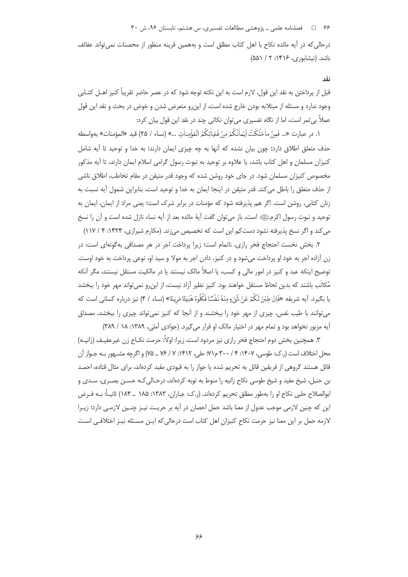۶۶ = 1 فصلنامه علمی ـ پژوهشی مطالعات تفسیری، س هشتم، تابستان ۹۶، ش ۳۰

درحالی که در آیه مائده نکاح با اهل کتاب مطلق است و بههمین قرینه منظور از محصنات نمی تواند عفائف  $(\delta \delta) / 7$  :۱۴۱۶ نشابوری، ۱۴۱۶: ۲

## نقد

قبل از پرداختن به نقد این قول، لازم است به این نکته توجه شود که در عصر حاضر تقریباً کنیز اهـل کتـابی وجود ندارد و مسئله از مبتلابه بودن خارج شده است، از این٫و متعرض شدن و خوض در بحث و نقد این قول عملاً بی ثمر است، اما از نگاه تفسیری می توان نکاتی چند در نقد این قول بیان کرد:

١. در عبارت «... فَمِنْ ماٰ مَلَكَتْ اَيْماٰنُكُمْ مِنْ فَتَياٰتِكُمُ الْمُؤْمِناٰت ...» (نساء / ٢٥) قيد «المؤمنات» بهواسطه حذف متعلق اطلاق دارد؛ چون بیان نشده که آنها به چه چیزی ایمان دارند؛ به خدا و توحید تا آیه شامل کنیزان مسلمان و اهل کتاب باشد، یا علاوه بر توحید به نبوت رسول گرامی اسلام ایمان دارند، تا آیه مذکور مخصوص کنیزان مسلمان شود. در جای خود روشن شده که وجود قدر متیقن در مقام تخاطب، اطلاق ناشی از حذف متعلق را باطل می کند. قدر متیقن در اینجا ایمان به خدا و توحید است، بنابراین شمول آیه نسبت به زنان كتابي، روشن است. اگر هم پذيرفته شود كه مؤمنات در برابر شرك است؛ يعني مراد از ايمان، ايمان به توحید و نبوت رسول اکرمﷺ است، باز می توان گفت آیهٔ مائده بعد از آیه نساء نازل شده است و آن را نسخ می کند و اگر نسخ پذیرفته نشود دست کم این است که تخصیص می;ند. (مکارم شیرازی، ۱۴۲۴: ۴ / ۱۱۷)

٢. بخش نخست احتجاج فخر رازى، ناتمام است؛ زيرا يرداخت اجر در هر مصداقى به گونهاى است: در زن آزاده اجر به خود او پرداخت میشود و در کنیز، دادن اجر به مولا و سید او، نوعی پرداخت به خود اوست. توضیح اینکه عبد و کنیز در امور مالی و کسب، یا اصلاً مالک نیستند یا در مالکیت مستقل نیستند، مگر آنکه مُكاتَب باشند كه بدين لحاظ مستقل خواهند بود. كنيز نظير آزاد نيست، از اين,رو نمي تواند مهر خود را ببخشد يا بِكَيرِد. آيه شريفه «فَانْ طِبْنَ لَكُمْ عَنْ شَيْءٍ مِنْهُ نَفْسًا فَكُلُوهُ هَنيّعًا مَرِيّعًا» (نساء / ۴) نيز درباره كساني است كه می توانند با طیب نفس، چیزی از مهر خود را ببخشند و از آنجا که کنیز نمی تواند چیزی را ببخشد، مصداق آیه مزبور نخواهد بود و تمام مهر در اختیار مالک او قرار می گیرد. (جوادی آملی، ۱۳۸۹: ۱۸ / ۳۸۹)

٣. همچنین بخش دوم احتجاج فخر رازی نیز مردود است، زیرا: اولاً: حرمت نکـاح زن غیرعفیـف (زانیـه) محل اختلاف است (ر.ک: طوسی، ۱۴۰۷: ۴ / ۳۰۰ م۷۱؛ حلی، ۱۴۱۲: ۷ / ۷۶ ــ ۷۵) و اگرچه مشــهور بـه جـواز آن قائل هستند گروهی از فریقین قائل به تحریم شده یا جواز را به قیودی مقید کردهاند، برای مثال قتاده، احمـد بن حنبل، شیخ مفید و شیخ طوسی نکاح زانیه را منوط به توبه کردهاند، درحـالی کـه حسـن بصـری، سـدی و ابوالصلاح حلبي نكاح او را بهطور مطلق تحريم كردهاند. (ر.ك: جباران، ١٣٨٣: ١٨٥ \_ ١٨۴) ثانيــاً: بــه فـرض این که چنین لازمی موجب عدول از معنا باشد حمل احصان در آیه بر حریت نیـز چنـین لازمـی دارد؛ زیـرا لازمه حمل بر این معنا نیز حرمت نکاح کنیزان اهل کتاب است درحالی که ایـن مسـئله نیـز اختلافـی اسـت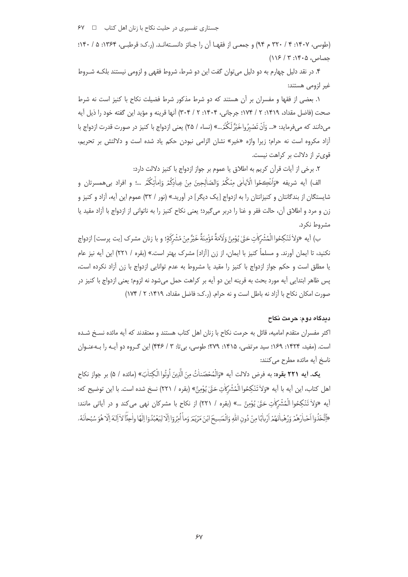جستا<sub>ر</sub>ی تفسیری در حلیت نکاح با زنان اهل کتاب □ ۶۷

(طوسی، ۱۴۰۷: ۳ / ۳۲۰ م ۹۴) و جمعے از فقهـا آن را جـائز دانسـتهانـد. (ر.ک: قرطبـی، ۱۳۶۴: ۵ / ۱۴۰؛  $(118/9:19.0, \omega)$ 

۴. در نقد دلیل چهارم به دو دلیل می توان گفت این دو شرط، شروط فقهی و لزومی نیستند بلکـه شـروط غير لزومي هستند:

١. بعضي از فقها و مفسران بر آن هستند كه دو شرط مذكور شرط فضيلت نكاح با كنيز است نه شرط صحت (فاضل مقداد، ١۴١٩: ٢ / ١٧۴؛ جرجاني، ١۴٠۴: ٢ / ٣٠۴) آنها قرينه و مؤيد اين گفته خود را ذيل آيه میcانند که میفرماید: «… وَاَنْ تَصْبِرُواخَيْرٌ لَکُدٌ...» (نساء / ٢۵) یعنی ازدواج با کنیز در صورت قدرت ازدواج با آزاد مکروه است نه حرام؛ زیرا واژه «خیر» نشان الزامی نبودن حکم یاد شده است و دلالتش بر تحریم، قوی تر از دلالت بر کراهت نیست.

٢. برخي از آيات قرآن كريم به اطلاق يا عموم بر جواز ازدواج با كنيز دلالت دارد:

الف) آيه شريفه «وَاَنْڪِحُوا الْآياٰمٰي مِنْكُمْ وَالصّاٰلِحِينَ مِنْ عِباٰدِكُمْرِ وَاِماٰئِكُمْ …؛ و افراد بيهمسرتان و شایستگان از بندگانتان و کنیزانتان را به ازدواج [یک دیگر] در آورید.» (نور / ۳۲) عموم این آیه، آزاد و کنیز و زن و مرد و اطلاق آن، حالت فقر و غنا را دربر میگیرد؛ یعنی نکاح کنیز را به ناتوانی از ازدواج با آزاد مقید یا مشروط نکرد.

بِ) أيه «وَلاٰ تَنْكِحُواالْمُشْرَكَاتِ حَتَّىٰ يُؤْمِنَّ وَلَامَةٌ مُؤْمِنَةٌ خَيْرٌ مِنْ مُشْرِكَةٍ؛ و با زنان مشرك [بت يرست] ازدواج نکنید، تا ایمان آورند. و مسلماً کنیز با ایمان، از زن [آزاد] مشرک بهتر است.» (بقره / ۲۲۱) این آیه نیز عام یا مطلق است و حکم جواز ازدواج با کنیز را مقید یا مشروط به عدم توانایی ازدواج با زن آزاد نکرده است، پس ظاهر ابتدایی آیه مورد بحث به قرینه این دو آیه بر کراهت حمل میشود نه لزوم؛ یعنی ازدواج با کنیز در صورت امکان نکاح با آزاد نه باطل است و نه حرام. (ر.ک: فاضل مقداد، ۱۴۱۹: ۲ / ۱۷۴)

# ديدگاه دوم: حرمت نکاح

اکثر مفسران متقدم امامیه، قائل به حرمت نکاح با زنان اهل کتاب هستند و معتقدند که آیه مائده نسخ شـده است. (مفید، ۱۴۲۴: ۱۶۹؛ سید مرتضی، ۱۴۱۵: ۲۷۹؛ طوسی، بیتا: ۳ / ۴۴۶) این گـروه دو آیـه را بـهعنـوان ناسخ آيه مائده مطرح مى كنند:

**يک. أيه ٢٢١ بقره:** به فرض دلالت أيه «وَالْمُحْصَناٰتُ منَ الَّذِينَ اُوتُوا الْكتاٰبَ» (مائده / ۵) بر جواز نكاح اهل كتاب، اين أيه با أيه «وَلاٰ تَنْكِحُوا الْمُشْرَكَاتِ حَقٌّ يُؤْمِنَّ» (بقره / ٢٢١) نسخ شده است. با اين توضيح كه: آيه «وَلاٰ تَنْكِحُوا الْمُشْرَكَاتِ حَتَّىٰ يُؤْمِنَّ …» (بقره / ٢٢١) از نكاح با مشركان نهى مى كند و در آياتى مانند: «إَتَّخَذُوٓا اَحْباٰدَهُمْهُ وَدُهْبِاٰنَهُمْ أَرْبِاٰبًا مِنْ دُونِ اللهُ وَالْمَسِيحَ ابْنَ مَرْيَمَرَ وَماْ أُمُرُوٓا إِلَّا لِيَعْبُدُوٓا إِلٰهٗا واٰجِداً لِأَألِهَ إِلَّا هُوَ سُبْحانَهُۥ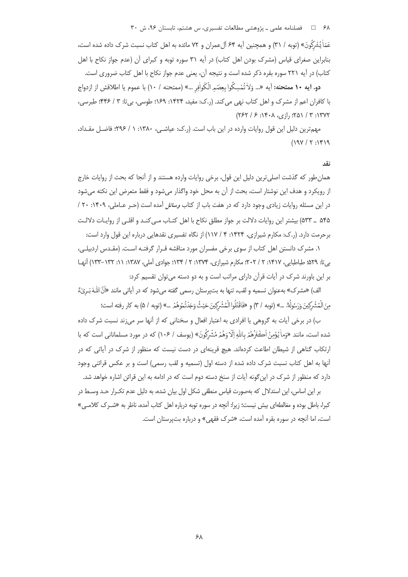۶۸ = 0 فصلنامه علمی ـ پژوهشی مطالعات تفسیری، س هشتم، تابستان ۹۶، ش ۳۰

عَمّاٰ يُشْرَكُونَ» (توبه / ٣١) و همچنين آيه ۶۴ آلءمران و ٧٢ مائده به اهل كتاب نسبت شرك داده شده است، بنابراین صغرای قیاس (مشرک بودن اهل کتاب) در آیه ۳۱ سوره توبه و کبرای آن (عدم جواز نکاح با اهل كتاب) در آيه ٢٢١ سوره بقره ذكر شده است و نتيجه آن، يعني عدم جواز نكاح با اهل كتاب ضروري است.

**دو. أيه ١٠ ممتحنه:** آيه «... وَلاٰ تُمْسِكُوا بِعِصَمِ الْكَواٰفِرِ. ...» (ممتحنه / ١٠) با عموم يا اطلاقش از ازدواج با كافران اعم از مشرك و اهل كتاب نهي مي كند. (ر.ك: مفيد، ١۴۲۴: ١۶٩؛ طوسى، بي تا: ٣ / ۴۴۶؛ طبرسى،  $(757 / 5.144)$  (12); 10) (13); 10) (75)

مهمترين دليل اين قول روايات وارده در اين باب است. (ر.ك: عياشـي، ١٣٨٠: ١ / ٢٩۶؛ فاضـل مقـداد،  $(19Y/T:19)$ 

### $\overline{3}$

همان طور که گذشت اصلی ترین دلیل این قول، برخی روایات وارده هستند و از آنجا که بحث از روایات خارج از رويكرد و هدف اين نوشتار است، بحث از آن به محل خود واگذار مي شود و فقط متعرض اين نكته مي شود در این مسئله روایات زیادی وجود دارد که در هفت باب از کتاب *وسائل* آمده است (حـر عـاملی، ۱۴۰۹: ۲۰ / ۵۴۵ \_ ۵۳۳) بیشتر این روایات دلالت بر جواز مطلق نکاح با اهل کتـاب مـی کنـد و اقلـی از روایـات دلالـت برحرمت دارد. (ر.ک: مکارم شیرازی، ۱۴۲۴: ۴ / ۱۱۷) از نگاه تفسیری نقدهایی درباره این قول وارد است:

۱. مشرک دانستن اهل کتاب از سوی برخی مفسران مورد مناقشه قـرار گرفتـه اسـت. (مقـدس اردبیلـی، بی تا: ۵۲۹؛ طباطبایی، ۱۴۱۷: ۲ / ۲۰۲؛ مکارم شیرازی، ۱۳۷۴: ۲ / ۱۳۴؛ جوادی آملی، ۱۳۸۷: ۱۱: ۱۳۲–۱۳۳) آنها بر این باورند شرک در آیات قرآن دارای مراتب است و به دو دسته می توان تقسیم کرد:

الف) «مشرك» بهعنوان تسميه و لقب، تنها به بتپرستان رسمي گفته ميشود كه در آياتي مانند «أَنَّ اللَّـهَ بَـريّءٌ ً مِنَ الْمُشْرِكِينَ وَرَسُولُهِۚ. …» (توبه / ٣) و «فَاقْتُلُوا الْمُشْرِكِينَ حَيْثُ وَجَدْتُمُوهُمْ …» (توبه / ۵) به كار رفته است؛

ب) در برخی آیات به گروهی یا افرادی به اعتبار افعال و سخنانی که از آنها سر می;ند نسبت شرک داده شده است، مانند «وَماْ يُؤْمِنُ اَكْثَرُهُمْ بِاللَّهِ إِلَّا وَهُمْ مُشْرَكُونَ» (يوسف / ١٠۶) كه در مورد مسلماناني است كه با ارتکاب گناهی از شیطان اطاعت کردهاند. هیچ قرینهای در دست نیست که منظور از شرک در آیاتی که در آنها به اهل کتاب نسبت شرک داده شده از دسته اول (تسمیه و لقب رسمی) است و بر عکس قرائنی وجود دارد که منظور از شرک در این گونه آیات از سنخ دسته دوم است که در ادامه به این قرائن اشاره خواهد شد.

بر این اساس، این استدلال که بهصورت قیاس منطقی شکل اول بیان شده، به دلیل عدم تکـرار حـد وسـط در کبرا، باطل بوده و مغالطهای بیش نیست؛ زیرا: آنچه در سوره توبه درباره اهل کتاب آمده، ناظر به «شـرک کلامـی» است، اما آنچه در سوره بقره آمده است، «شرک فقهی» و درباره بتپرستان است.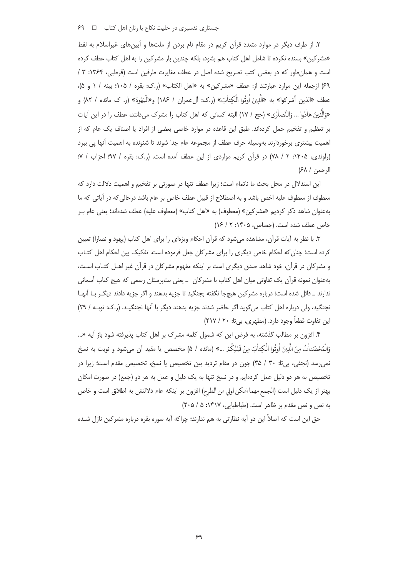جستاری تفسیری در حلیت نکاح با زنان اهل کتاب ها ا

۲. از طرف دیگر در موارد متعدد قرآن کریم در مقام نام بردن از ملتها و آیینهای غیراسلام به لفظ «مشركين» بسنده نكرده تا شامل اهل كتاب هم بشود، بلكه چندين بار مشركين را به اهل كتاب عطف كرده است و همان طور که در بعضی کتب تصریح شده اصل در عطف مغایرت طرفین است (قرطبی، ۱۳۶۴: ۳ / ۶۹) ازجمله این موارد عبارتند از: عطف «مشركین» به «اهل الكتاب» (ر.ك: بقره / ۱۰۵؛ بینه / ۱ و ۵)، عطف «الذين أشركوا» به «الَّذِينَ أُوتُوا الْكِتاٰبَ» (ر.ك: آلءمران / ١٨۶) و«الْيَهُودَ» (ر. ک مائده / ٨٢) و «وَالَّذِينَ هاٰدُوا … وَالنَّصاٰ{ي» (حج / ١٧) البته كساني كه اهل كتاب را مشرك مي دانند، عطف را در اين آيات بر تعظیم و تفخیم حمل کردهاند. طبق این قاعده در موارد خاصی بعضی از افراد یا اصناف یک عام که از اهمیت بیشتری برخوردارند بهوسیله حرف عطف از مجموعه عام جدا شوند تا شنونده به اهمیت آنها پی ببرد (راوندی، ۱۴۰۵: ۲ / ۷۸) در قرآن کریم مواردی از این عطف آمده است. (ر.ک: بقره / ۹۷؛ احزاب / ۷؛ الرحمن / ۶۸)

این استدلال در محل بحث ما ناتمام است؛ زیرا عطف تنها در صورتی بر تفخیم و اهمیت دلالت دارد که معطوف از معطوف عليه اخص باشد و به اصطلاح از قبيل عطف خاص بر عام باشد درحالي كه در آياتي كه ما بهعنوان شاهد ذكر كرديم «مشركين» (معطوف) به «اهل كتاب» (معطوف عليه) عطف شدهاند؛ يعني عام بـر خاص عطف شده است. (جصاص، ۱۴۰۵: ۲/ ۱۶)

٣. با نظر به آيات قرآن، مشاهده مي شود كه قرآن احكام ويژهاي را براي اهل كتاب (يهود و نصارا) تعيين کرده است؛ چنان که احکام خاص دیگری را برای مشرکان جعل فرموده است. تفکیک بین احکام اهل کتـاب و مشركان در قرآن، خود شاهد صدق ديگرى است بر اينكه مفهوم مشركان در قرآن غير اهـل كتـاب اسـت، بەعنوان نمونە قرآن یک تفاوتی میان اهل کتاب با مشرکان ـ یعنی بتپرستان رسمی که هیچ کتاب آسمانی ندارند \_ قائل شده است؛ درباره مشركين هيچجا نگفته بجنگيد تا جزيه بدهند و اگر جزيه دادند ديگـر بــا آنهــا نجنگید، ولی درباره اهل کتاب می گوید اگر حاضر شدند جزیه بدهند دیگر با آنها نجنگیـد. (ر.ک: توبـه / ٢٩) این تفاوت قطعاً وجود دارد. (مطهری، بی تا: ۲۰ / ۲۱۷)

۴. افزون بر مطالب گذشته، به فرض این که شمول کلمه مشرک بر اهل کتاب پذیرفته شود باز آیه «... وَالْمُحْصَناٰتُ مِنَ الَّذِينَ أُوتُوا الْكِتاٰبَ مِنْ قَبْلِكُمْ …» (مائده / ۵) مخصص يا مقيد آن مي شود و نوبت به نسخ نمی، سد (نجفی، بی تا: ۳۰ / ۳۵) چون در مقام تردید بین تخصیص یا نسخ، تخصیص مقدم است؛ زیرا در تخصیص به هر دو دلیل عمل کردهایم و در نسخ تنها به یک دلیل و عمل به هر دو (جمع) در صورت امکان بهتر از يک دليل است (الجمع مهما امکن اولي من الطرح) افزون بر اينکه عام دلالتش به اطلاق است و خاص به نص و نص مقدم بر ظاهر است. (طباطبایی، ۱۴۱۷: ۵ / ۲۰۵)

حق این است که اصلاً این دو آیه نظارتی به هم ندارند؛ چراکه آیه سوره بقره درباره مشرکین نازل شـده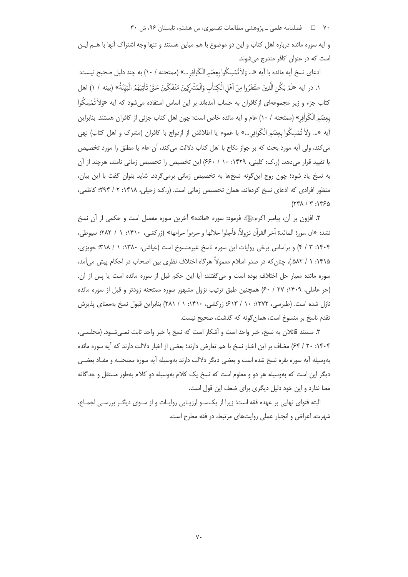۷۰ = د فصلنامه علمی ـ پژوهشی مطالعات تفسیری، س هشتم، تابستان ۹۶، ش ۳۰

و آیه سوره مائده درباره اهل کتاب و این دو موضوع با هم مباین هستند و تنها وجه اشتراک آنها با هــم ایـن است که در عنوان کافر مندرج می شوند.

ادعاى نسخ آيه مائده با آيه «... وَلاٰ تُمْسِكُوا بِعِصَمِ الْكَواٰفِرِ ...» (ممتحنه / ١٠) به چند دليل صحيح نيست: ١. در آيه «لَمْ يَكُن الَّذِينَ كَفَرُوا مِنْ اَهْلِ الْكِتابِ وَالْمُشْرِكِينَ مُنْفَكِّينَ حَقٍّ تَأْتِيهُمُ الْبَيّنَةُ» (بينه / ١) اهل کتاب جزء و زیر مجموعهای ازکافران به حساب آمدهاند بر این اساس استفاده می شود که آیه «وَلاٰ تُمْسِکُوا بعِصَمِ الْكَواٰفِي» (ممتحنه / ١٠) عام و آيه مائده خاص است؛ چون اهل كتاب جزئي از كافران هستند. بنابراين آيه «… وَلاْ تُمْسِكُوا بعِصَمِ الْكَواْفِرِ …» با عموم يا اطلاقش از ازدواج با كافران (مشرك و اهل كتاب) نهي می كند، ولی آيه مورد بحث كه بر جواز نكاح با اهل كتاب دلالت میكند، آن عام يا مطلق را مورد تخصيص یا تقیید قرار میدهد. (ر.ک: کلینی، ۱۴۲۹: ۱۰ / ۶۶۰) این تخصیص را تخصیص زمانی نامند، هرچند از آن به نسخ یاد شود؛ چون روح این گونه نسخها به تخصیص زمانی برمی گردد. شاید بتوان گفت با این بیان، منظور افرادی که ادعای نسخ کردهاند، همان تخصیص زمانی است. (ر.ک: زحیلی، ۱۴۱۸: ۲ / ۲۹۴: کاظمی،  $(77\lambda / 7:1750$ 

۲. افزون بر آن، پیامبر اکرمﷺ فرمود: سوره «مائده» آخرین سوره مفصل است و حکمی از آن نسخ نشد: «ان سورة المائدة آخر القرآن نزولاً، فأحِلوا حلالها و حرموا حرامها» (زركشي، ١۴١٠: ١ / ٢٨٢: سيوطي، ۰۱۴۰۴ (۲ / ۴) و براساس برخی روایات این سوره ناسخ غیرمنسوخ است (عیاشی، ۱۳۸۰: ۱ / ۳۱۸: حویزی، ۱۴۱۵: ۱ / ۵۸۲.)، چنان که در صدر اسلام معمولاً هرگاه اختلاف نظری بین اصحاب در احکام پیش می آمد، سوره مائده معيار حل اختلاف بوده است و مي گفتند: آيا اين حكم قبل از سوره مائده است يا پس از آن. (حر عاملي، ١۴٠٩: ٢٧ / ٤٠) همچنين طبق ترتيب نزول مشهور سوره ممتحنه زودتر و قبل از سوره مائده نازل شده است. (طبرسی، ۱۳۷۲: ۱۰ / ۶۱۳؛ زرکشی، ۱۴۱۰: ۱ / ۲۸۱) بنابراین قبول نسخ بهمعنای پذیرش تقدم ناسخ بر منسوخ است، همان گونه که گذشت، صحیح نیست.

٣. مستند قائلان به نسخ، خبر واحد است و أشكار است كه نسخ با خبر واحد ثابت نمـي شـود. (مجلسـي، ۲۰۰۱۴۰۴) ۶۴/ ۶۴) مضاف بر این اخبار نسخ با هم تعارض دارند؛ بعضی از اخبار دلالت دارند که آیه سوره مائده بهوسیله آیه سوره بقره نسخ شده است و بعضی دیگر دلالت دارند بهوسیله آیه سوره ممتحنـه و مفـاد بعضـی دیگر این است که بهوسیله هر دو و معلوم است که نسخ یک کلام بهوسیله دو کلام بهطور مستقل و جداگانه معنا ندارد و این خود دلیل دیگری برای ضعف این قول است.

البته فتوای نهایی بر عهده فقه است؛ زیرا از یکسو ارزیـابی روایـات و از سـوی دیگـر بررسـی اجمـاع، شهرت، اعراض و انجبار عملی روایتهای مرتبط، در فقه مطرح است.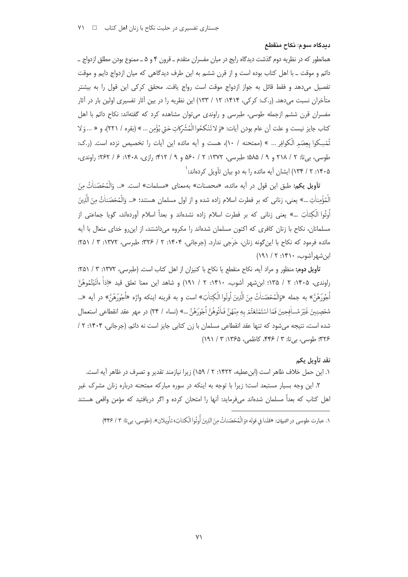ديدگاه سوم: نكاح منقطع

همانطور که در نظریه دوم گذشت دیدگاه رایج در میان مفسران متقدم ــ قرون ۴ و ۵ ــ ممنوع بودن مطلق ازدواج ــ دائم و موقت ــ با اهل كتاب بوده است و از قرن ششم به اين طرف ديدگاهي كه ميان ازدواج دايم و موقت تفصیل می،دهد و فقط قائل به جواز ازدواج موقت است رواج یافت. محقق کرکی این قول را به بیشتر متأخران نسبت میدهد. (ر.ک: کرکی، ۱۴۱۴: ۱۲ / ۱۳۳) این نظریه را در بین آثار تفسیری اولین بار در آثار مفسران قرن ششم ازجمله طوسی، طبرسی و راوندی می¤وان مشاهده کرد که گفتهاند: نکاح دائم با اهل كتاب جايز نيست و علت أن عام بودن أيات: «وَ لا تَنْكحُوا الْمُشْرِكاتِ حَتّى يُؤْمِن ... » (بقره / ٢٢١)، و « ... وَ لا تُمُسِكوا بعِصَمِ الْكوافِرِ … » (ممتحنه / ١٠)، هست و آيه مائده اين آيات را تخصيص نزده است. (ر.ک: طوسی، بیتا: ۲ / ۲۱۸ و ۹ / ۵۸۵؛ طبرسی، ۱۳۷۲: ۲ / ۵۶۰ و ۹ / ۴۱۲؛ رازی، ۱۴۰۸: ۶ / ۲۶۲؛ راوندی، ۰۱۴۰۵ : ۲ / ۱۳۴) ایشان آیه مائده را به دو بیان تأویل کردهاند: `

تأويل يكم: طبق اين قول در آيه مائده، «محصنات» بهمعناي «مسلمات» است. «... وَالْمُحْصَناٰتُ مِنَ الْمُؤْمِناٰتِ …» يعني، زناني كه بر فطرت اسلام زاده شده و از اول مسلمان هستند؛ «… وَالْمُحْصَناٰتُ منَ الَّذِينَ اُوتُوا الْكتاٰبَ …» یعنی زنانی که بر فطرت اسلام زاده نشدهاند و بعداً اسلام آوردهاند، گویا جماعتی از مسلمانان، نكاح با زنان كافرى كه اكنون مسلمان شدهاند را مكروه مى داشتند، از اين رو خداى متعال با آيه مائده فرمود که نکاح با این گونه زنان، حَرَجی ندارد. (جرجانی، ۱۴۰۴: ۲ / ۳۲۶: طبرسی، ۱۳۷۲: ۳ / ۴۵۱: ابن شهر آشوب، ۱۴۱۰: ۲ / ۱۹۱)

تأويل دوم: منظور و مراد آيه، نكاح منقطع يا نكاح با كنيزان از اهل كتاب است. (طبرسى، ١٣٧٢: ٣ / ٢٥١): راوندي، ١٣٠۵: ٢ / ١٣۵؛ ابنِشهر آشوب، ١٣١٠: ٢ / ١٩١) و شاهد اين معنا تعلق قيد «إذاْ ءاْتَيْتُمُوهُنَّ أَجُورَهُنَّ» به جمله «وَالْمُحْصَناتُ منَ الَّذِينَ اُوتُوا الْكِتابَ» است و به قرينه اينكه واژه «أُجُورَهُنّ » در آيه «... مُحْصِنِينَ غَيْرَ مُسافِحِينَ فَمَا اسْتَمْتَعْتُمْ بِهِ مِنْهُنَّ فَاتُوهُنَّ أُجُورَهُنَّ …» (نساء / ٢۴) در مهر عقد انقطاعي استعمال شده است، نتیجه می شود که تنها عقد انقطاعی مسلمان با زن کتابی جایز است نه دائم. (جرجانی، ۱۴۰۴: ۲/ / ٣٢۶: طوسی، بی تا: ٣ / ۴۴۶، کاظمی، ۱۳۶۵: ٣ / ١٩١)

### نقد تأويل يكم

١. این حمل خلاف ظاهر است (ابن عطیه، ١۴٢٢: ٢ / ١۵٩) زیرا نیازمند تقدیر و تصرف در ظاهر آیه است. ۲. این وجه بسیار مستبعد است؛ زیرا با توجه به اینکه در سوره مبارکه ممتحنه درباره زنان مشرک غیر اهل کتاب که بعداً مسلمان شدهاند میفرماید: آنها را امتحان کرده و اگر دریافتید که مؤمن واقعی هستند

١. عبارت طوبيبر, در التسان: «قلنا في قوله «وَ الْمُحْصَناتُ منَ الذينَ أُوتُوا الْكِتابَ» تأويلان». (طوبيبر، بيرتا: ٣ / ۴۴۶)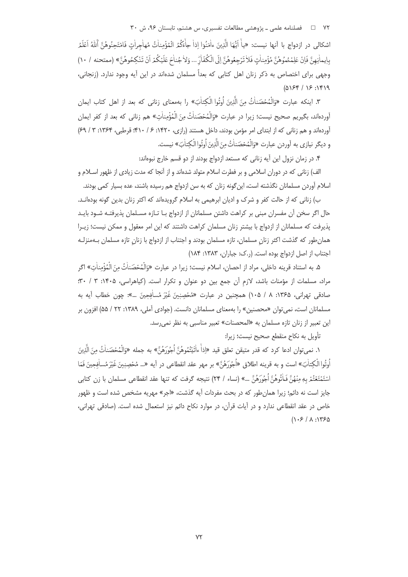اشكالي در ازدواج با آنـها نيست: «ياْ آيُّهَا الَّذِينَ ءاٰمَنُوٓا إذاٰ جاْءَكُمُ الْمُؤْمِناٰتُ مُهاجرات فامْتَحنُوهُنَّ ٱللَّهُ اَعْلَمُ بِإِيمَانِهِنَّ فَإِنْ عَلِمْمُمُوهُنَّ مُؤْمِناْتِ فَلاٰ تَرْجِعُوهُنَّ إِلَى الْكُفَّارِّ ... وَلا جُناحَ عَلَيْكُمْ أَنْ تَنْكِحُوهُنَّ» (ممتحنه / ١٠) وجهی برای اختصاص به ذکر زنان اهل کتابی که بعداً مسلمان شدهاند در این آیه وجود ندارد. (زنجانی،  $(0154 / 15.1919$ 

٣. اينكه عبارت «وَالْمُحْصَناٰتُ منَ الَّذِينَ أُوتُوا الْكِتاٰبَ» ,ا بهمعناي زناني كه بعد از اهل كتاب ايمان آوردهاند، بگیریم صحیح نیست؛ زیرا در عبارت «وَالْمُحْصَناٰتُ مِنَ الْمُؤْمِناٰتِ» هم زنانی که بعد از کفر ایمان آوردهاند و هم زنانی که از ابتدای امر مؤمن بودند، داخل هستند (رازی، ۱۴۲۰: ۶/ ۴۱۰؛ قرطبی، ۱۳۶۴: ۳ / ۶۹) و ديگر نيازي به آوردن عبارت «وَالْمُحْصَناٰتُ مِنَ الَّذِينَ اُوتُوا الْكِتاٰبَ» نيست.

۴. در زمان نزول این آیه زنانی که مستعد ازدواج بودند از دو قسم خارج نبوهاند:

الف) زنانی که در دوران اسلامی و بر فطرت اسلام متولد شدهاند و از آنجا که مدت زیادی از ظهور اسلام و اسلام آوردن مسلمانان نگذشته است، این گونه زنان که به سن ازدواج هم رسیده باشند، عده بسیار کمی بودند.

ب) زنانی که از حالت کفر و شرک و ادیان ابرهیمی به اسلام گرویدهاند که اکثر زنان بدین گونه بودهانـد. حال اگر سخن آن مفسران مبنی بر کراهت داشتن مسلمانان از ازدواج بـا تـازه مسـلمان پذیرفتـه شـود بایـد پذیرفت که مسلمانان از ازدواج با بیشتر زنان مسلمان کراهت داشتند که این امر معقول و ممکن نیست؛ زیـرا همان طور که گذشت اکثر زنان مسلمان، تازه مسلمان بودند و اجتناب از ازدواج با زنان تازه مسلمان بـهمنزلـه اجتناب از اصل ازدواج بوده است. (ر.ک: جباران، ۱۳۸۳: ۱۸۴)

۵. به استناد قرينه داخلي، مراد از احصان، اسلام نيست؛ زيرا در عبارت «وَالْمُحْصَناٰتُ مِنَ الْمُؤْمِناٰت» اگر مراد، مسلمات از مؤمنات باشد، لازم آن جمع بین دو عنوان و تکرار است. (کیاهراسی، ۱۴۰۵: ۳۰ / ۳۰: صادقی تهرانی، ۱۳۶۵: ۸ / ۱۰۵) همچنین در عبارت «مُحْصِنٖینَ غَیْرَ مُساٰفِجِینَ …»: چون خطاب آیه به مسلمانان است، نمی توان «محصنین» را بهمعنای مسلمانان دانست. (جوادی آملی، ۱۳۸۹: ۲۲ / ۵۵) افزون بر این تعبیر از زنان تازه مسلمان به «المحصنات» تعبیر مناسبی به نظر نمی رسد.

تأويل به نكاح منقطع صحيح نيست؛ زيرا:

١. نميتوان ادعا كرد كه قدر متيقن تعلق قيد «إذاً ءاْتَيْتُمُوهُنَّ اُجُورَهُنَّ» به جمله «وَالْمُخصَناْتُ مِنَ الَّذِينَ اُوتُوا الْكتاٰبَ» است و به قرينه اطلاق «اُجُورَهُنَّ» بر مهر عقد انقطاعي در آيه «... مُحْصنِبنَ غَيْرَ مُساٰفجينَ فَمَا اسْتَمْتَعْتُمْ بِهِ منْهُنَّ فَـاٰتُوهُنَّ أُجُورَهُنَّ …» (نساء / ٢۴) نتيجه گرفت که تنها عقد انقطاعي مسلمان با زن کتابي جایز است نه دائم؛ زیرا همان طور که در بحث مفردات آیه گذشت، «اجر» مهریه مشخص شده است و ظهور خاص در عقد انقطاعی ندارد و در آیات قرآن، در موارد نکاح دائم نیز استعمال شده است. (صادقی تهرانی،  $(1.5/1.1750$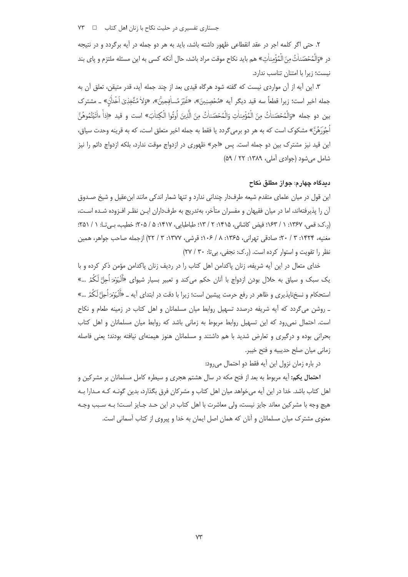جستاری تفسیری در حلیت نکاح با زنان اهل کتاب D۳ T

۲. حتی اگر کلمه اجر در عقد انقطاعی ظهور داشته باشد، باید به هر دو جمله در آیه برگردد و در نتیجه در «وَالْمُحْصَناٰتُ مِنَ الْمُؤْمِناٰتِ» هم بايد نكاح موقت مراد باشد، حال أنكه كسى به اين مسئله ملتزم و پاي بند نیست؛ زیرا با امتنان تناسب ندارد.

۳. این آیه از آن مواردی نیست که گفته شود هرگاه قیدی بعد از چند جمله آید، قدر متیقن، تعلق آن به جمله اخير است؛ زيرا قطعاً سه قيد ديگر آيه «مُحْصِنِينَ»، «غَيْرَ مُساٰفِجِينَّ»، «وَلاٰ مُتَّخِذِيٓ اَخْدلْنّ» \_ مشترك بين دو جمله «وَالْمُحْصَناٰتُ منَ الْمُؤْمناٰتِ وَالْمُحْصَناٰتُ منَ الَّذِينَ اُوتُوا الْكتاٰبَ» است و قيد «إذا ءاتَيْتُمُوهُنَّ اُجُورَهُنَّ» مشكوک است که به هر دو برمي۶گردد يا فقط به جمله اخير متعلق است، که به قرينه وحدت سياق، این قید نیز مشترک بین دو جمله است. پس «اجر» ظهوری در ازدواج موقت ندارد، بلکه ازدواج دائم را نیز شامل می شود (جوادی آملی، ۱۳۸۹: ۲۲ / ۵۹)

## ديدگاه چهار ۾: جو از مطلق نکاح

این قول در میان علمای متقدم شیعه طرفدار چندانی ندارد و تنها شمار اندکی مانند ابنءقیل و شیخ صـدوق آن را پذیرفتهاند، اما در میان فقیهان و مفسران متأخر، بهتدریج به طرفداران ایـن نظـر افـزوده شـده اسـت، (.ک: قمی، ۱۳۶۷: ۱ / ۱۶۳؛ فیض کاشانی، ۱۴۱۵: ۲ / ۱۳؛ طباطبایی، ۱۴۱۷: ۵ / ۲۰۵؛ خطیب، بے تا: ۱ / ۲۵۱؛ مغنيه، ١۴٢۴: ٣ / ٢٠؛ صادقي تهراني، ١٣۶۵: ٨ / ١٠۶؛ قرشي، ١٣٧٧: ٣ / ٢٢) ازجمله صاحب جواهر، همين نظر را تقویت و استوار کرده است. (رک: نحفی، بی تا: ۳۰/ ۲۷)

خدای متعال در این آیه شریفه، زنان پاکدامن اهل کتاب را در ردیف زنان پاکدامن مؤمن ذکر کرده و با یک سبک و سیاق به حلال بودن ازدواج با آنان حکم میکند و تعبیر بسیار شیوای «اََلْیَوۡمَ اُحِلَّ لَکُمُ …» استحکام و نسخنایذیری و ظاهر در رفع حرمت پیشین است؛ زیرا با دقت در ابتدای آیه ــ «اَلَیَوْمَرَاُحِلَّ لَکُمُ …» ۔ روشن می گردد که آیه شریفه درصدد تسهیل روابط میان مسلمانان و اهل کتاب در زمینه طعام و نکاح است. احتمال نمی رود که این تسهیل روابط مربوط به زمانی باشد که روابط میان مسلمانان و اهل کتاب بحرانی بوده و درگیری و تعارض شدید با هم داشتند و مسلمانان هنوز هیمنهای نیافته بودند؛ یعنی فاصله زماني ميان صلح حديبيه و فتح خيبر.

در باره زمان نزول این آیه فقط دو احتمال می رود:

احتمال یکم: آیه مربوط به بعد از فتح مکه در سال هشتم هجری و سیطره کامل مسلمانان بر مشرکین و اهل کتاب باشد. خدا در این آیه میخواهد میان اهل کتاب و مشرکان فرق بگذارد، بدین گونـه کـه مـدارا بـه هيچ وجه با مشركين معاند جايز نيست، ولي معاشرت با اهل كتاب در اين حـد جـايز اسـت؛ بـه سـبب وجـه معنوی مشترک میان مسلمانان و آنان که همان اصل ایمان به خدا و پیروی از کتاب آسمانی است.

 $VY$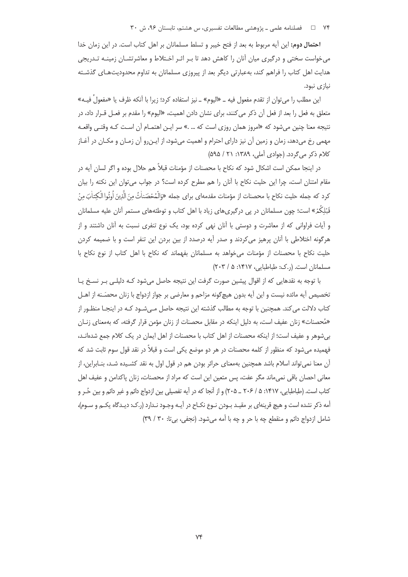۷۴ = د فصلنامه علمی ـ پژوهشی مطالعات تفسیری، س هشتم، تابستان ۹۶، ش ۳۰

احتمال دوم: این آیه مربوط به بعد از فتح خیبر و تسلط مسلمانان بر اهل کتاب است. در این زمان خدا می خواست سختی و درگیری میان آنان را کاهش دهد تا بـر اثـر اخـتلاط و معاشرتشـان زمینـه تـدریجی هدایت اهل کتاب را فراهم کند، بهعبارتی دیگر بعد از پیروزی مسلمانان به تداوم محدودیتهای گذشته نیازی نبود.

این مطلب را می توان از تقدم مفعول فیه ــ «الیوم» ــ نیز استفاده کرد؛ زیرا با آنکه ظرف یا «مفعولْ فیــه» متعلق به فعل را بعد از فعل أن ذكر مي كنند، براي نشان دادن اهميت، «اليوم» را مقدم بر فعـل قــرار داد، در نتیجه معنا چنین میشود که «امروز همان روزی است که … .» سر ایـن اهتمـام آن اسـت کـه وقتـی واقعـه مهمی رخ میدهد، زمان و زمین آن نیز دارای احترام و اهمیت میشود، از ایـن٫و آن زمـان و مکـان در آغـاز کلام ذکر می گردد. (جوادی آملی، ۱۳۸۹: ۲۱ / ۵۹۵)

در اینجا ممکن است اشکال شود که نکاح با محصنات از مؤمنات قبلاً هم حلال بوده و اگر لسان آیه در مقام امتنان است، چرا این حلیت نکاح با آنان را هم مطرح کرده است؟ در جواب می توان این نکته را بیان كرد كه جمله حليت نكاح با محصنات از مؤمنات مقدمهاى براى جمله «وَالْمُحْصَناٰتُ مِنَ الَّذِينَ أُوتُوا الْكِتاٰبَ مِنْ قَبْلِکُمْ» است؛ چون مسلمانان در پی درگیریهای زیاد با اهل کتاب و توطئههای مستمر آنان علیه مسلمانان و آیات فراوانی که از معاشرت و دوستی با آنان نهی کرده بود، یک نوع تنفری نسبت به آنان داشتند و از هرگونه اختلاطی با آنان پرهیز میکردند و صدر آیه درصدد از بین بردن این تنفر است و با ضمیمه کردن حلیت نکاح با محصنات از مؤمنات می خواهد به مسلمانان بفهماند که نکاح با اهل کتاب از نوع نکاح با مسلمانان است. (ر.ک: طباطبایی، ۱۴۱۷: ۵ / ۲۰۳)

با توجه به نقدهایی که از اقوال پیشین صورت گرفت این نتیجه حاصل میشود کـه دلیلـی بـر نسـخ یـا تخصیص آیه مائده نیست و این آیه بدون هیچگونه مزاحم و معارضی بر جواز ازدواج با زنان محصَـنه از اهــل کتاب دلالت می کند. همچنین با توجه به مطالب گذشته این نتیجه حاصل مـیشـود کـه در اینجـا منظـور از «مُحصنات» زنان عفیف است، به دلیل اینکه در مقابل محصنات از زنان مؤمن قرار گرفته، که بهمعنای زنـان بی شوهر و عفیف است؛ از اینکه محصنات از اهل کتاب با محصنات از اهل ایمان در یک کلام جمع شدهانـد، فهمیده می شود که منظور از کلمه محصنات در هر دو موضع یکی است و قبلاً در نقد قول سوم ثابت شد که آن معنا نمی تواند اسلام باشد همچنین بهمعنای حرائر بودن هم در قول اول به نقد کشـیده شـد، بنـابراین، از معانی احصان باقی نمیماند مگر عفت، پس متعین این است که مراد از محصنات، زنان پاکدامن و عفیف اهل کتاب است. (طباطبایی، ۱۴۱۷: ۵ / ۲۰۶ ـ ۲۰۵) و از آنجا که در آیه تفصیلی بین ازدواج دائم و غیر دائم و بین حُـر و أمه ذکر نشده است و هیچ قرینهای بر مقیـد بـودن نـوع نکـاح در آیـه وجـود نـدارد (ر.ک: دیـدگاه یکـم و سـوم)، شامل ازدواج دائم و منقطع چه با حر و چه با أمه می شود. (نجفی، بی تا: ۳۰ / ۳۹)

 $Vf$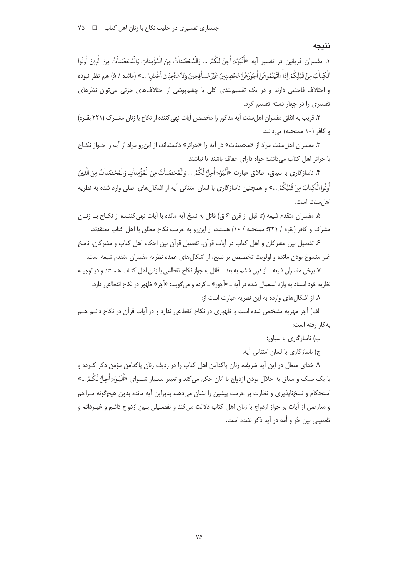### نتىجە

١. مفسران فريقين در تفسير آيه «أَلْيَوْمَرَ أَجِلَّ لَكُمُ … وَالْمُحْصَناٰتُ مِنَ الْمُؤْمِناٰتِ وَالْمُحْصَناٰتُ مِنَ الَّذِينَ أُوتُوا الْكِتابَ مِنْ قَبْلِكُمْ إذاً ءاٰتَيْتُمُوهُنَّ اُجُورَهُنَّ مُحْصِنِينَ غَيْرَ مُسافِجِينَ وَلاٰ مُتَّخِذِيٓ اخْداٰن ٌ …» (مائده / ۵) هم نظر نبوده و اختلاف فاحشی دارند و در یک تقسیمبندی کلی با چشمپوشی از اختلافهای جزئی میتوان نظرهای تفسیری را در چهار دسته تقسیم کرد.

۲. قریب به اتفاق مفسران اهل سنت آیه مذکور را مخصص آیات نهی کننده از نکاح با زنان مشــرک (۲۲۱ بقــره) و کافر (١٠ ممتحنه) مي دانند.

۳. مفسران اهل سنت مراد از «محصنات» در آیه را «حرائر» دانستهاند، از این رو مراد از آیه را جـواز نکـاح با حرائر اهل كتاب مى دانند؛ خواه داراى عفاف باشند يا نباشند.

۴. ناسازگاري با سياق، اطلاق عبارت «أَلْيَوْمَ أُحِلَّ لَكُمُ ... وَالْمُحْصَناٰتُ مِنَ الْمُؤْمِناٰتِ وَالْمُحْصَناٰتُ مِنَ الَّذِينَ اُوتُوا الْكِتاٰبَ مِنْ قَبْلِكُمْ ...» و همچنین ناسازگاری با لسان امتنانی آیه از اشکالهای اصلی وارد شده به نظریه اهل سنت است.

۵. مفسران متقدم شیعه (تا قبل از قرن ۶ ق) قائل به نسخ آیه مائده با آیات نهی کننـده از نکـاح بــا زنــان مشرک و کافر (بقره / ۲۲۱؛ ممتحنه / ۱۰) هستند، از این٫رو به حرمت نکاح مطلق با اهل کتاب معتقدند.

۶. تفصیل بین مشرکان و اهل کتاب در آیات قرآن، تفصیل قرآن بین احکام اهل کتاب و مشرکان، ناسخ غیر منسوخ بودن مائده و اولویت تخصیص بر نسخ، از اشکال های عمده نظریه مفسران متقدم شیعه است.

٧. برخي مفسران شيعه \_از قرن ششم به بعد \_ قائل به جواز نكاح انقطاعي با زنان اهل كتـاب هسـتند و در توجيـه نظریه خود استناد به واژه استعمال شده در آیه ــ «أجور» ــ کرده و می گویند: «أجر» ظهور در نکاح انقطاعی دارد.

٨. از اشكال هاى وارده به اين نظريه عبارت است از:

الف) أجر مهريه مشخص شده است و ظهوري در نكاح انقطاعي ندارد و در آيات قرآن در نكاح دائـم هــم به کار رفته است؛

ب) ناسازگاری با سیاق:

ج) ناسازگاری با لسان امتنانی آیه.

۹. خدای متعال در این آیه شریفه، زنان پاکدامن اهل کتاب را در ردیف زنان پاکدامن مؤمن ذکر کـرده و با یک سبک و سیاق به حلال بودن ازدواج با آنان حکم میکند و تعبیر بسـیار شـیوای «اََلْیَوْمَ اُحِلَّ لَکُمُ ...» استحکام و نسخناپذیری و نظارت بر حرمت پیشین را نشان میدهد، بنابراین آیه مائده بدون هیچگونه مـزاحم و معارضي از آيات بر جواز ازدواج با زنان اهل كتاب دلالت مي كند و تفصـيلي بـين ازدواج دائـم و غيـردائم و تفصیلی بین حُر و أمه در آیه ذکر نشده است.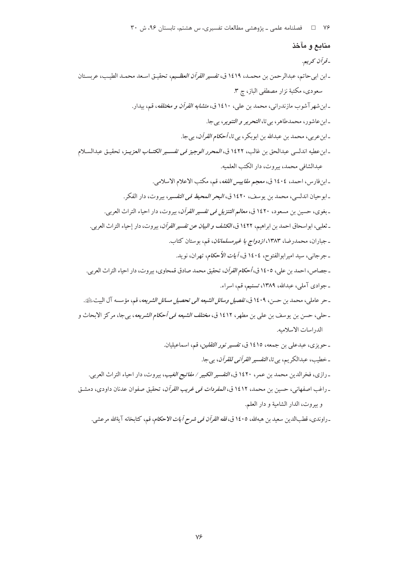۷۶ = 1 فصلنامه علمی ـ پژوهشی مطالعات تفسیری، س هشتم، تابستان ۹۶، ش ۳۰

# منابع و مآخذ

-قرآن كريم. ـ ابن ابيحاتم، عبدالرحمن بن محمـد، ١٤١٩ ق، *تفسير القرآن العظـيم*، تحقيـق اسـعد محمـد الطيـب، عربسـتان سعودي، مكتبة نزار مصطفى الباز، چ ۳. ـ ابن شهر آشوب مازندرانی، محمد بن علی، ۱٤۱۰ ق، *متشابه القرآن و مختلفه*، قم، بیدار. ـ ابن عاشور، محمدطاهر، بي تا، *التحرير و التنوير*، بي جا. ـ ابن عربي، محمد بن عبدالله بن ابوبكر، بي تا، *أحكام القرآن*، بي جا. ـ ابن عطيه اندلسي عبدالحق بن غالب، ١٤٢٢ ق، *المحرر الوجيز في تفسـير الكتــاب العزيــز*، تحقيـق عبدالسـلام عبدالشافي محمد، بيروت، دار الكتب العلميه. ـ ابن فارس، احمد، ١٤٠٤ ق، مع*جم مقاييس اللغه*، قم، مكتب الاعلام الاسلامي. ـ ابوحيان اندلسي، محمد بن يوسف، ١٤٢٠ ق، *البحر المحيط في التفسي*ر، بيروت، دار الفكر. ـ بغوي، حسين بن مسعود، ١٤٢٠ ق، *معالم التنزيل في تفسير القرآن*، بيروت، دار احياء التراث العربي. ـ ثعلبي، ابواسحاق احمد بن ابراهيم، ١٤٢٢ ق، *الكشف و البيان عن تفسير القرآن*، بيروت، دار إحياء التراث العربي. ـ جباران، محمدرضا، ۱۳۸۳، *ازدواج با غیرمسلمانان*، قم، بوستان کتاب. ـ جرجانبي، سيد اميرابوالفتوح، ١٤٠٤ ق، *أيات الأحكام*، تهران، نويد. ـ جصاص، احمد بن علي، ١٤٠٥ ق، *أحكام القرآن*، تحقيق محمد صادق قمحاوي، بيروت، دار احياء التراث العربي. ـ جوادي آملي، عبدالله، ١٣٨٩، تسنيم، قم، اسراء. ـ حر عاملي، محمد بن حسن، ١٤٠٩ ق، *تفصيل وسائل الشيعه الى تحصيل مسائل الشريعه*، قم، مؤسسه آل البيت ﷺ. ـ حلي، حسن بن يوسف بن علي بن مطهر، ١٤١٢ ق، *مختلف الشيعه في أحكام الشريعه*، بيجا، مركز الابحاث و الدراسات الاسلاميه. ـ حويزى، عبدعلى بن جمعه، ١٤١٥ ق، *تفسير نور الثقلين*، قم، اسماعيليان. ـ خطيب، عبدالكريم، بي تا، *التفسير القرآني للقرآن*، بيجا. ـ رازي، فخرالدين محمد بن عمر ، ١٤٢٠ ق، *التفسير الكبير / مفاتيح الغيب*، بيروت، دار احياء التراث العربي. ـ راغب اصفهاني، حسين بن محمد، ١٤١٢ ق، *المفردات في غريب القرآن*، تحقيق صفوان عدنان داودي، دمشـق

و بيروت، الدار الشامية و دار العلم.

ـ راوندى، قطبالدين سعيد بن هبهالله، ١٤٠٥ ق، *فقه القرآن في شرح أيات الاحكام*، قم، كتابخانه آيةالله مرعشى.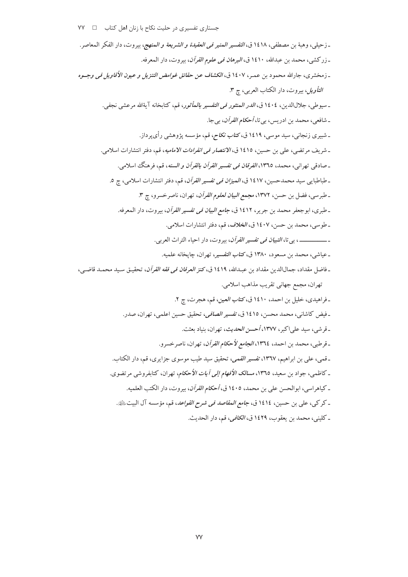جستاری تفسیری در حلیت نکاح با زنان اهل کتاب D VY V ـ زحيلي، وهبة بن مصطفى، ١٤١٨ ق، *التفسير المنير في العقيدة و الشريعة و المنهج*، بيروت، دار الفكر المعاصر. ـ زركشي، محمد بن عبدالله، ١٤١٠ ق، *البرهان في علوم القرآن*، بيروت، دار المعرفه. ـ زمخشري، جارالله محمود بن عمـر، ١٤٠٧ ق، *الكشاف عن حقائق غوامض التنزيل و عيون الأقاويل في وجــوه التأويل*، بيروت، دار الكتاب العربي، چ ٣. \_ سبوطي، جلالالدين، ١٤٠٤ ق، *الدر المنثور في التفسير بالمأثور*، قم، كتابخانه آيةالله مرعشي نجفي. ـ شافعي، محمد بن ادريس، بي تا، *أحكام القرآن*، بيجا. ـ شبیری زنجانی، سید موسی، ۱۶۱۹ ق، *کتاب نکاح، قم*، مؤسسه پژوهشی رأی پرداز. ـ شريف مرتضى، على بن حسين، ١٤١٥ ق، *الانتصار في انفرادات الاماميه*، قم، دفتر انتشارات اسلامي. ـ صادقي تهراني، محمد، ١٣٦٥، *الفرقان في تفسير القرآن بالقرآن و السنه*، قم، فرهنگ اسلامي. ـ طباطبايبي سيد محمدحسين، ١٤١٧ ق، *الميزان في تفسير القرآن*، قم، دفتر انتشارات اسلامي، ج ٥. ـ طبرسي، فضل بن حسن، ١٣٧٢، مجم*ع البيان لعلوم القرآن*، تهران، ناصرخسرو، چ ٣. ـ طبري، ابوجعفر محمد بن جرير، ١٤١٢ ق، *جامع البيان في تفسير القرآن*، بيروت، دار المعرفه. ـ طوسي، محمد بن حسن، ١٤٠٧ ق، *الخلاف*، قم، دفتر انتشارات اسلامي. ـ ــــــــــــــــــ ، بي تا، *التبيان في تفسير القرآن*، بيروت، دار احياء التراث العربي. ـ عياشي، محمد بن مسعود، ١٣٨٠ ق، *كتاب التفسي*ر، تهران، جايخانه علميه. ـ فاضل مقداد، جمالالدين مقداد بن عبـدالله، ١٤١٩ ق، *كنز العرفان في فقه القرآن*، تحقيـق سـيد محمـد قاضـي، تهران، مجمع جهاني تقريب مذاهب اسلامي. ۔ فراهیدی، خلیل بن احمد، ۱٤۱۰ ق، *کتاب العین*، قم، هجرت، ج ۲. ـ فيض كاشاني، محمد محسن، ١٤١٥ ق، *تفسير الصافي*، تحقيق حسين اعلمي، تهران، صدر. ـ قرشي، سيد علي|كبر، ١٣٧٧، أحس*ن الحديث*، تهران، بنياد بعثت. ـ قرطبي، محمد بن احمد، ١٣٦٤، *الجامع لأحكام القرآن*، تهران، ناصر خسرو. ـ قمي، علي بن ابراهيم، ١٣٦٧، تفسير *القمي*، تحقيق سيد طيب موسوى جزايري، قم، دار الكتاب. ـ كاظمى، جواد بن سعيد، ١٣٦٥، *مسالك الأفهام إلى أيات الأحكام*، تهران، كتابفروشي مرتضوي. ـ كياهراسي، ابوالحسن على بن محمد، ١٤٠٥ ق، *أحكام القرآن*، بيروت، دار الكتب العلميه. ـ كركبي، على بن حسين، ١٤١٤ ق، جا*مع المقاصد في شرح القواعد*، قم، مؤسسه آل البيت <u>الله</u>ة. ـ كليني، محمد بن يعقوب، ١٤٢٩ ق، *الكافي*، قم، دار الحديث.